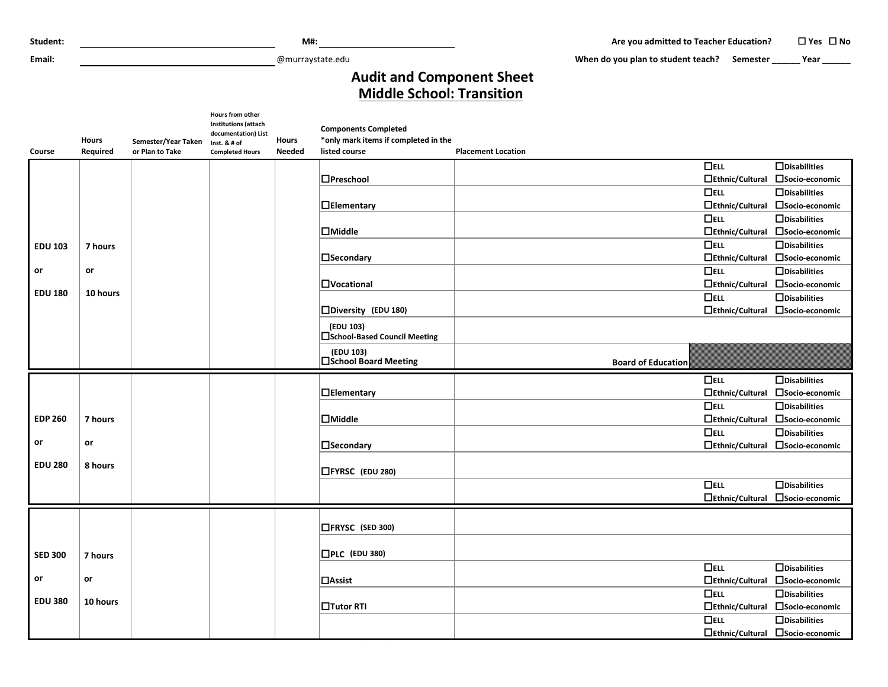| Student:       |                          |                                        |                                                                                                           | $M#$ :                        |                                                                                      |                           | Are you admitted to Teacher Education?      |                                      | $\Box$ Yes $\Box$ No                                    |
|----------------|--------------------------|----------------------------------------|-----------------------------------------------------------------------------------------------------------|-------------------------------|--------------------------------------------------------------------------------------|---------------------------|---------------------------------------------|--------------------------------------|---------------------------------------------------------|
| Email:         |                          |                                        |                                                                                                           | @murraystate.edu              |                                                                                      |                           | When do you plan to student teach? Semester |                                      | Year Letter                                             |
|                |                          |                                        |                                                                                                           |                               | <b>Audit and Component Sheet</b><br><b>Middle School: Transition</b>                 |                           |                                             |                                      |                                                         |
| Course         | <b>Hours</b><br>Required | Semester/Year Taken<br>or Plan to Take | Hours from other<br>Institutions (attach<br>documentation) List<br>Inst. & # of<br><b>Completed Hours</b> | <b>Hours</b><br><b>Needed</b> | <b>Components Completed</b><br>*only mark items if completed in the<br>listed course | <b>Placement Location</b> |                                             |                                      |                                                         |
|                |                          |                                        |                                                                                                           |                               |                                                                                      |                           |                                             | $\Box$ ELL                           | $\Box$ Disabilities                                     |
|                |                          |                                        |                                                                                                           |                               | □Preschool                                                                           |                           |                                             | $\Box$ Ethnic/Cultural               | □Socio-economic                                         |
|                |                          |                                        |                                                                                                           |                               |                                                                                      |                           |                                             | $\Box$ ELL                           | $\Box$ Disabilities                                     |
|                |                          |                                        |                                                                                                           |                               | $\Box$ Elementary                                                                    |                           |                                             | $\Box$ Ethnic/Cultural               | □Socio-economic                                         |
|                |                          |                                        |                                                                                                           |                               |                                                                                      |                           |                                             | $\Box$ ELL                           | $\Box$ Disabilities                                     |
|                |                          |                                        |                                                                                                           |                               | $\Box$ Middle                                                                        |                           |                                             | $\Box$ Ethnic/Cultural               | □Socio-economic                                         |
| <b>EDU 103</b> | 7 hours                  |                                        |                                                                                                           |                               |                                                                                      |                           |                                             | $\Box$ ELL                           | $\Box$ Disabilities                                     |
|                |                          |                                        |                                                                                                           |                               | $\square$ Secondary                                                                  |                           |                                             | $\Box$ Ethnic/Cultural               | □Socio-economic                                         |
| or             | or                       |                                        |                                                                                                           |                               | $\Box$ Vocational                                                                    |                           |                                             | $\Box$ ELL<br>$\Box$ Ethnic/Cultural | $\Box$ Disabilities<br>□Socio-economic                  |
| <b>EDU 180</b> | 10 hours                 |                                        |                                                                                                           |                               |                                                                                      |                           |                                             | $\Box$ ELL                           | $\Box$ Disabilities                                     |
|                |                          |                                        |                                                                                                           |                               | $\square$ Diversity (EDU 180)                                                        |                           |                                             | $\Box$ Ethnic/Cultural               | □Socio-economic                                         |
|                |                          |                                        |                                                                                                           |                               | (EDU 103)                                                                            |                           |                                             |                                      |                                                         |
|                |                          |                                        |                                                                                                           |                               | □School-Based Council Meeting                                                        |                           |                                             |                                      |                                                         |
|                |                          |                                        |                                                                                                           |                               | (EDU 103)<br>□School Board Meeting                                                   |                           | <b>Board of Education</b>                   |                                      |                                                         |
|                |                          |                                        |                                                                                                           |                               |                                                                                      |                           |                                             | $\Box$ ELL                           | $\Box$ Disabilities                                     |
|                |                          |                                        |                                                                                                           |                               | $\Box$ Elementary                                                                    |                           |                                             | $\Box$ Ethnic/Cultural               | □Socio-economic                                         |
|                |                          |                                        |                                                                                                           |                               |                                                                                      |                           |                                             | $\Box$ ELL                           | $\Box$ Disabilities                                     |
| <b>EDP 260</b> | 7 hours                  |                                        |                                                                                                           |                               | $\Box$ Middle                                                                        |                           |                                             | $\Box$ Ethnic/Cultural               | □Socio-economic                                         |
|                |                          |                                        |                                                                                                           |                               |                                                                                      |                           |                                             | $\Box$ ELL                           | $\Box$ Disabilities                                     |
| or             | or                       |                                        |                                                                                                           |                               | $\square$ Secondary                                                                  |                           |                                             | $\Box$ Ethnic/Cultural               | □Socio-economic                                         |
| <b>EDU 280</b> | 8 hours                  |                                        |                                                                                                           |                               | □FYRSC (EDU 280)                                                                     |                           |                                             |                                      |                                                         |
|                |                          |                                        |                                                                                                           |                               |                                                                                      |                           |                                             | $\Box$ ELL                           | $\Box$ Disabilities                                     |
|                |                          |                                        |                                                                                                           |                               |                                                                                      |                           |                                             | $\Box$ Ethnic/Cultural               | □Socio-economic                                         |
|                |                          |                                        |                                                                                                           |                               | □FRYSC (SED 300)                                                                     |                           |                                             |                                      |                                                         |
| <b>SED 300</b> | 7 hours                  |                                        |                                                                                                           |                               | $\square$ PLC (EDU 380)                                                              |                           |                                             |                                      |                                                         |
|                |                          |                                        |                                                                                                           |                               |                                                                                      |                           |                                             | $\Box$ ELL                           | $\Box$ Disabilities                                     |
| or             | or                       |                                        |                                                                                                           |                               | $\Box$ Assist                                                                        |                           |                                             | $\Box$ Ethnic/Cultural               | □Socio-economic                                         |
| <b>EDU 380</b> |                          |                                        |                                                                                                           |                               |                                                                                      |                           |                                             | $\Box$ ELL                           | $\Box$ Disabilities                                     |
|                |                          |                                        |                                                                                                           |                               |                                                                                      |                           |                                             |                                      |                                                         |
|                | 10 hours                 |                                        |                                                                                                           |                               | □Tutor RTI                                                                           |                           |                                             | $\Box$ Ethnic/Cultural               | □Socio-economic                                         |
|                |                          |                                        |                                                                                                           |                               |                                                                                      |                           |                                             | $\Box$ ELL                           | $\Box$ Disabilities<br>□Ethnic/Cultural □Socio-economic |

**(SED 300)**